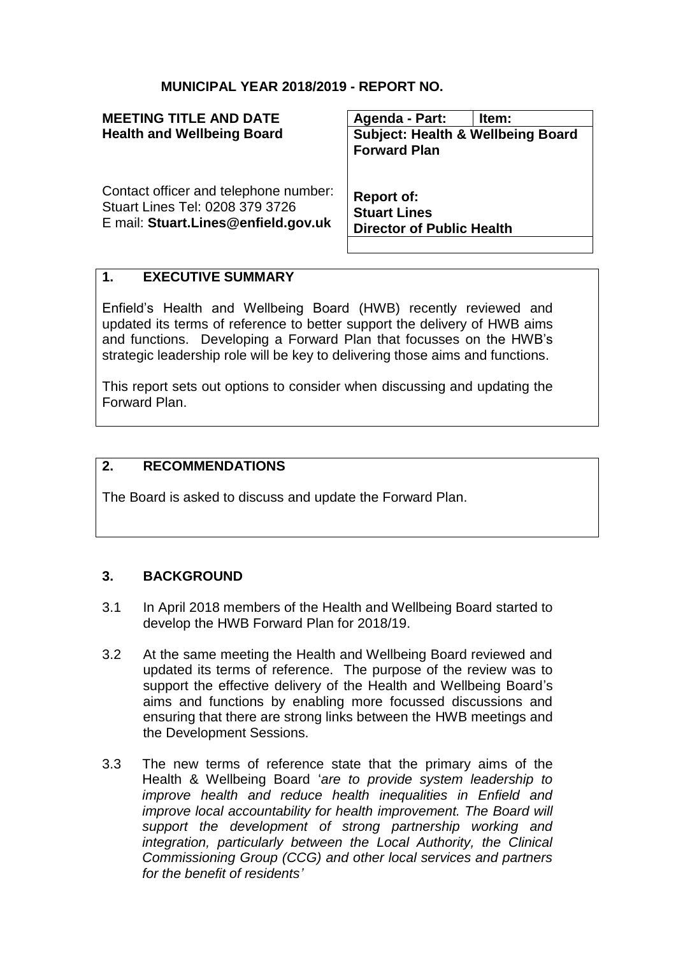## **MUNICIPAL YEAR 2018/2019 - REPORT NO.**

| <b>MEETING TITLE AND DATE</b><br><b>Health and Wellbeing Board</b> | Agenda - Part:<br>Item:<br><b>Subject: Health &amp; Wellbeing Board</b><br><b>Forward Plan</b> |
|--------------------------------------------------------------------|------------------------------------------------------------------------------------------------|
| Contact officer and telephone number:                              | <b>Report of:</b>                                                                              |
| Stuart Lines Tel: 0208 379 3726                                    | <b>Stuart Lines</b>                                                                            |
| E mail: Stuart.Lines@enfield.gov.uk                                | <b>Director of Public Health</b>                                                               |

### **1. EXECUTIVE SUMMARY**

Enfield's Health and Wellbeing Board (HWB) recently reviewed and updated its terms of reference to better support the delivery of HWB aims and functions. Developing a Forward Plan that focusses on the HWB's strategic leadership role will be key to delivering those aims and functions.

This report sets out options to consider when discussing and updating the Forward Plan.

### **2. RECOMMENDATIONS**

The Board is asked to discuss and update the Forward Plan.

### **3. BACKGROUND**

- 3.1 In April 2018 members of the Health and Wellbeing Board started to develop the HWB Forward Plan for 2018/19.
- 3.2 At the same meeting the Health and Wellbeing Board reviewed and updated its terms of reference. The purpose of the review was to support the effective delivery of the Health and Wellbeing Board's aims and functions by enabling more focussed discussions and ensuring that there are strong links between the HWB meetings and the Development Sessions.
- 3.3 The new terms of reference state that the primary aims of the Health & Wellbeing Board '*are to provide system leadership to improve health and reduce health inequalities in Enfield and improve local accountability for health improvement. The Board will support the development of strong partnership working and integration, particularly between the Local Authority, the Clinical Commissioning Group (CCG) and other local services and partners for the benefit of residents'*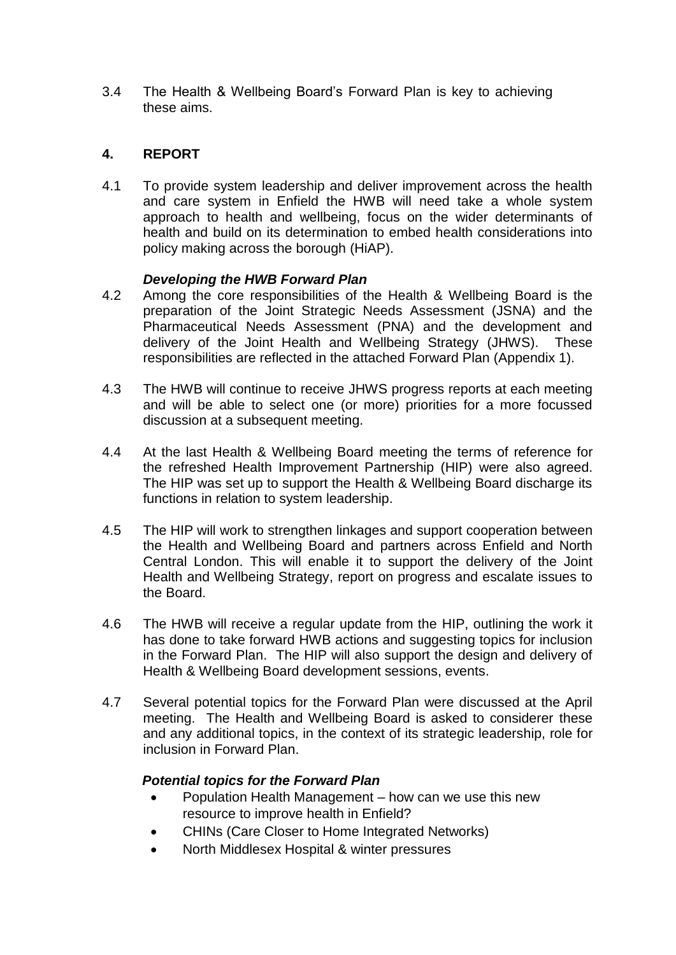3.4 The Health & Wellbeing Board's Forward Plan is key to achieving these aims.

# **4. REPORT**

4.1 To provide system leadership and deliver improvement across the health and care system in Enfield the HWB will need take a whole system approach to health and wellbeing, focus on the wider determinants of health and build on its determination to embed health considerations into policy making across the borough (HiAP).

## *Developing the HWB Forward Plan*

- 4.2 Among the core responsibilities of the Health & Wellbeing Board is the preparation of the Joint Strategic Needs Assessment (JSNA) and the Pharmaceutical Needs Assessment (PNA) and the development and delivery of the Joint Health and Wellbeing Strategy (JHWS). These responsibilities are reflected in the attached Forward Plan (Appendix 1).
- 4.3 The HWB will continue to receive JHWS progress reports at each meeting and will be able to select one (or more) priorities for a more focussed discussion at a subsequent meeting.
- 4.4 At the last Health & Wellbeing Board meeting the terms of reference for the refreshed Health Improvement Partnership (HIP) were also agreed. The HIP was set up to support the Health & Wellbeing Board discharge its functions in relation to system leadership.
- 4.5 The HIP will work to strengthen linkages and support cooperation between the Health and Wellbeing Board and partners across Enfield and North Central London. This will enable it to support the delivery of the Joint Health and Wellbeing Strategy, report on progress and escalate issues to the Board.
- 4.6 The HWB will receive a regular update from the HIP, outlining the work it has done to take forward HWB actions and suggesting topics for inclusion in the Forward Plan. The HIP will also support the design and delivery of Health & Wellbeing Board development sessions, events.
- 4.7 Several potential topics for the Forward Plan were discussed at the April meeting. The Health and Wellbeing Board is asked to considerer these and any additional topics, in the context of its strategic leadership, role for inclusion in Forward Plan.

# *Potential topics for the Forward Plan*

- Population Health Management how can we use this new resource to improve health in Enfield?
- CHINs (Care Closer to Home Integrated Networks)
- North Middlesex Hospital & winter pressures